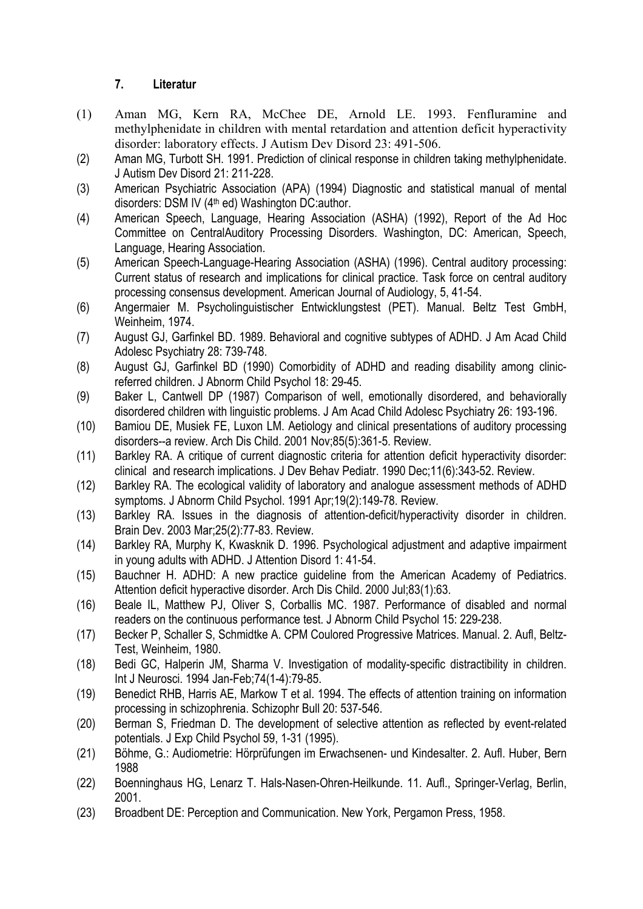## **7. Literatur**

- (1) Aman MG, Kern RA, McChee DE, Arnold LE. 1993. Fenfluramine and methylphenidate in children with mental retardation and attention deficit hyperactivity disorder: laboratory effects. J Autism Dev Disord 23: 491-506.
- (2) Aman MG, Turbott SH. 1991. Prediction of clinical response in children taking methylphenidate. J Autism Dev Disord 21: 211-228.
- (3) American Psychiatric Association (APA) (1994) Diagnostic and statistical manual of mental disorders: DSM IV (4<sup>th</sup> ed) Washington DC:author.
- (4) American Speech, Language, Hearing Association (ASHA) (1992), Report of the Ad Hoc Committee on CentralAuditory Processing Disorders. Washington, DC: American, Speech, Language, Hearing Association.
- (5) American Speech-Language-Hearing Association (ASHA) (1996). Central auditory processing: Current status of research and implications for clinical practice. Task force on central auditory processing consensus development. American Journal of Audiology, 5, 41-54.
- (6) Angermaier M. Psycholinguistischer Entwicklungstest (PET). Manual. Beltz Test GmbH, Weinheim, 1974.
- (7) August GJ, Garfinkel BD. 1989. Behavioral and cognitive subtypes of ADHD. J Am Acad Child Adolesc Psychiatry 28: 739-748.
- (8) August GJ, Garfinkel BD (1990) Comorbidity of ADHD and reading disability among clinicreferred children. J Abnorm Child Psychol 18: 29-45.
- (9) Baker L, Cantwell DP (1987) Comparison of well, emotionally disordered, and behaviorally disordered children with linguistic problems. J Am Acad Child Adolesc Psychiatry 26: 193-196.
- (10) Bamiou DE, Musiek FE, Luxon LM. Aetiology and clinical presentations of auditory processing disorders--a review. Arch Dis Child. 2001 Nov;85(5):361-5. Review.
- (11) Barkley RA. A critique of current diagnostic criteria for attention deficit hyperactivity disorder: clinical and research implications. J Dev Behav Pediatr. 1990 Dec;11(6):343-52. Review.
- (12) Barkley RA. The ecological validity of laboratory and analogue assessment methods of ADHD symptoms. J Abnorm Child Psychol. 1991 Apr;19(2):149-78. Review.
- (13) Barkley RA. Issues in the diagnosis of attention-deficit/hyperactivity disorder in children. Brain Dev. 2003 Mar;25(2):77-83. Review.
- (14) Barkley RA, Murphy K, Kwasknik D. 1996. Psychological adjustment and adaptive impairment in young adults with ADHD. J Attention Disord 1: 41-54.
- (15) Bauchner H. ADHD: A new practice guideline from the American Academy of Pediatrics. Attention deficit hyperactive disorder. Arch Dis Child. 2000 Jul;83(1):63.
- (16) Beale IL, Matthew PJ, Oliver S, Corballis MC. 1987. Performance of disabled and normal readers on the continuous performance test. J Abnorm Child Psychol 15: 229-238.
- (17) Becker P, Schaller S, Schmidtke A. CPM Coulored Progressive Matrices. Manual. 2. Aufl, Beltz-Test, Weinheim, 1980.
- (18) Bedi GC, Halperin JM, Sharma V. Investigation of modality-specific distractibility in children. Int J Neurosci. 1994 Jan-Feb;74(1-4):79-85.
- (19) Benedict RHB, Harris AE, Markow T et al. 1994. The effects of attention training on information processing in schizophrenia. Schizophr Bull 20: 537-546.
- (20) Berman S, Friedman D. The development of selective attention as reflected by event-related potentials. J Exp Child Psychol 59, 1-31 (1995).
- (21) Böhme, G.: Audiometrie: Hörprüfungen im Erwachsenen- und Kindesalter. 2. Aufl. Huber, Bern 1988
- (22) Boenninghaus HG, Lenarz T. Hals-Nasen-Ohren-Heilkunde. 11. Aufl., Springer-Verlag, Berlin, 2001.
- (23) Broadbent DE: Perception and Communication. New York, Pergamon Press, 1958.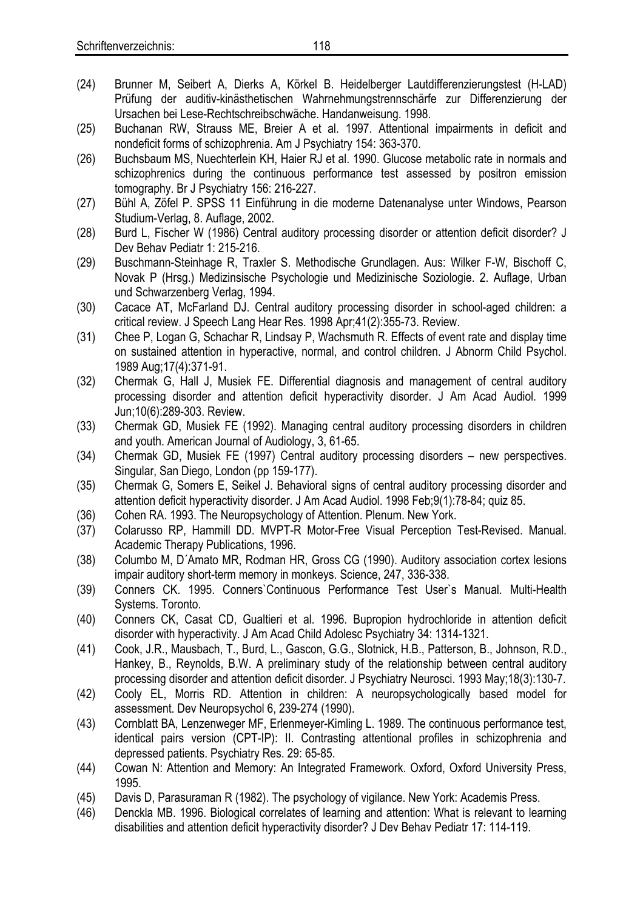- (24) Brunner M, Seibert A, Dierks A, Körkel B. Heidelberger Lautdifferenzierungstest (H-LAD) Prüfung der auditiv-kinästhetischen Wahrnehmungstrennschärfe zur Differenzierung der Ursachen bei Lese-Rechtschreibschwäche. Handanweisung. 1998.
- (25) Buchanan RW, Strauss ME, Breier A et al. 1997. Attentional impairments in deficit and nondeficit forms of schizophrenia. Am J Psychiatry 154: 363-370.
- (26) Buchsbaum MS, Nuechterlein KH, Haier RJ et al. 1990. Glucose metabolic rate in normals and schizophrenics during the continuous performance test assessed by positron emission tomography. Br J Psychiatry 156: 216-227.
- (27) Bühl A, Zöfel P. SPSS 11 Einführung in die moderne Datenanalyse unter Windows, Pearson Studium-Verlag, 8. Auflage, 2002.
- (28) Burd L, Fischer W (1986) Central auditory processing disorder or attention deficit disorder? J Dev Behav Pediatr 1: 215-216.
- (29) Buschmann-Steinhage R, Traxler S. Methodische Grundlagen. Aus: Wilker F-W, Bischoff C, Novak P (Hrsg.) Medizinsische Psychologie und Medizinische Soziologie. 2. Auflage, Urban und Schwarzenberg Verlag, 1994.
- (30) Cacace AT, McFarland DJ. Central auditory processing disorder in school-aged children: a critical review. J Speech Lang Hear Res. 1998 Apr;41(2):355-73. Review.
- (31) Chee P, Logan G, Schachar R, Lindsay P, Wachsmuth R. Effects of event rate and display time on sustained attention in hyperactive, normal, and control children. J Abnorm Child Psychol. 1989 Aug;17(4):371-91.
- (32) Chermak G, Hall J, Musiek FE. Differential diagnosis and management of central auditory processing disorder and attention deficit hyperactivity disorder. J Am Acad Audiol. 1999 Jun;10(6):289-303. Review.
- (33) Chermak GD, Musiek FE (1992). Managing central auditory processing disorders in children and youth. American Journal of Audiology, 3, 61-65.
- (34) Chermak GD, Musiek FE (1997) Central auditory processing disorders new perspectives. Singular, San Diego, London (pp 159-177).
- (35) Chermak G, Somers E, Seikel J. Behavioral signs of central auditory processing disorder and attention deficit hyperactivity disorder. J Am Acad Audiol. 1998 Feb;9(1):78-84; quiz 85.
- (36) Cohen RA. 1993. The Neuropsychology of Attention. Plenum. New York.
- (37) Colarusso RP, Hammill DD. MVPT-R Motor-Free Visual Perception Test-Revised. Manual. Academic Therapy Publications, 1996.
- (38) Columbo M, D´Amato MR, Rodman HR, Gross CG (1990). Auditory association cortex lesions impair auditory short-term memory in monkeys. Science, 247, 336-338.
- (39) Conners CK. 1995. Conners`Continuous Performance Test User`s Manual. Multi-Health Systems. Toronto.
- (40) Conners CK, Casat CD, Gualtieri et al. 1996. Bupropion hydrochloride in attention deficit disorder with hyperactivity. J Am Acad Child Adolesc Psychiatry 34: 1314-1321.
- (41) Cook, J.R., Mausbach, T., Burd, L., Gascon, G.G., Slotnick, H.B., Patterson, B., Johnson, R.D., Hankey, B., Reynolds, B.W. A preliminary study of the relationship between central auditory processing disorder and attention deficit disorder. J Psychiatry Neurosci. 1993 May;18(3):130-7.
- (42) Cooly EL, Morris RD. Attention in children: A neuropsychologically based model for assessment. Dev Neuropsychol 6, 239-274 (1990).
- (43) Cornblatt BA, Lenzenweger MF, Erlenmeyer-Kimling L. 1989. The continuous performance test, identical pairs version (CPT-IP): II. Contrasting attentional profiles in schizophrenia and depressed patients. Psychiatry Res. 29: 65-85.
- (44) Cowan N: Attention and Memory: An Integrated Framework. Oxford, Oxford University Press, 1995.
- (45) Davis D, Parasuraman R (1982). The psychology of vigilance. New York: Academis Press.
- (46) Denckla MB. 1996. Biological correlates of learning and attention: What is relevant to learning disabilities and attention deficit hyperactivity disorder? J Dev Behav Pediatr 17: 114-119.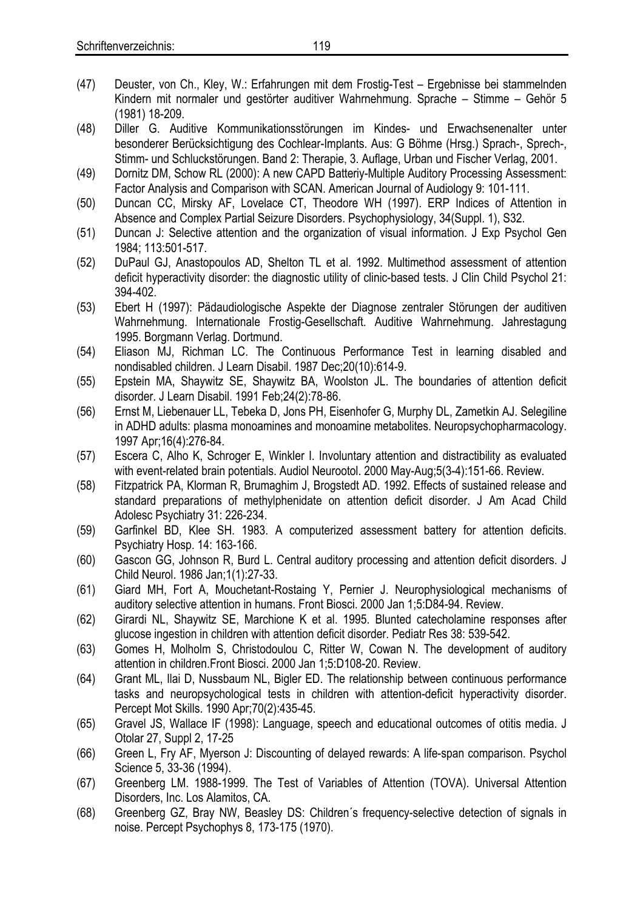- (48) Diller G. Auditive Kommunikationsstörungen im Kindes- und Erwachsenenalter unter besonderer Berücksichtigung des Cochlear-Implants. Aus: G Böhme (Hrsg.) Sprach-, Sprech-, Stimm- und Schluckstörungen. Band 2: Therapie, 3. Auflage, Urban und Fischer Verlag, 2001.
- (49) Dornitz DM, Schow RL (2000): A new CAPD Batteriy-Multiple Auditory Processing Assessment: Factor Analysis and Comparison with SCAN. American Journal of Audiology 9: 101-111.
- (50) Duncan CC, Mirsky AF, Lovelace CT, Theodore WH (1997). ERP Indices of Attention in Absence and Complex Partial Seizure Disorders. Psychophysiology, 34(Suppl. 1), S32.
- (51) Duncan J: Selective attention and the organization of visual information. J Exp Psychol Gen 1984; 113:501-517.
- (52) DuPaul GJ, Anastopoulos AD, Shelton TL et al. 1992. Multimethod assessment of attention deficit hyperactivity disorder: the diagnostic utility of clinic-based tests. J Clin Child Psychol 21: 394-402.
- (53) Ebert H (1997): Pädaudiologische Aspekte der Diagnose zentraler Störungen der auditiven Wahrnehmung. Internationale Frostig-Gesellschaft. Auditive Wahrnehmung. Jahrestagung 1995. Borgmann Verlag. Dortmund.
- (54) Eliason MJ, Richman LC. The Continuous Performance Test in learning disabled and nondisabled children. J Learn Disabil. 1987 Dec;20(10):614-9.
- (55) Epstein MA, Shaywitz SE, Shaywitz BA, Woolston JL. The boundaries of attention deficit disorder. J Learn Disabil. 1991 Feb;24(2):78-86.
- (56) Ernst M, Liebenauer LL, Tebeka D, Jons PH, Eisenhofer G, Murphy DL, Zametkin AJ. Selegiline in ADHD adults: plasma monoamines and monoamine metabolites. Neuropsychopharmacology. 1997 Apr;16(4):276-84.
- (57) Escera C, Alho K, Schroger E, Winkler I. Involuntary attention and distractibility as evaluated with event-related brain potentials. Audiol Neurootol. 2000 May-Aug;5(3-4):151-66. Review.
- (58) Fitzpatrick PA, Klorman R, Brumaghim J, Brogstedt AD. 1992. Effects of sustained release and standard preparations of methylphenidate on attention deficit disorder. J Am Acad Child Adolesc Psychiatry 31: 226-234.
- (59) Garfinkel BD, Klee SH. 1983. A computerized assessment battery for attention deficits. Psychiatry Hosp. 14: 163-166.
- (60) Gascon GG, Johnson R, Burd L. Central auditory processing and attention deficit disorders. J Child Neurol. 1986 Jan;1(1):27-33.
- (61) Giard MH, Fort A, Mouchetant-Rostaing Y, Pernier J. Neurophysiological mechanisms of auditory selective attention in humans. Front Biosci. 2000 Jan 1;5:D84-94. Review.
- (62) Girardi NL, Shaywitz SE, Marchione K et al. 1995. Blunted catecholamine responses after glucose ingestion in children with attention deficit disorder. Pediatr Res 38: 539-542.
- (63) Gomes H, Molholm S, Christodoulou C, Ritter W, Cowan N. The development of auditory attention in children.Front Biosci. 2000 Jan 1;5:D108-20. Review.
- (64) Grant ML, Ilai D, Nussbaum NL, Bigler ED. The relationship between continuous performance tasks and neuropsychological tests in children with attention-deficit hyperactivity disorder. Percept Mot Skills. 1990 Apr;70(2):435-45.
- (65) Gravel JS, Wallace IF (1998): Language, speech and educational outcomes of otitis media. J Otolar 27, Suppl 2, 17-25
- (66) Green L, Fry AF, Myerson J: Discounting of delayed rewards: A life-span comparison. Psychol Science 5, 33-36 (1994).
- (67) Greenberg LM. 1988-1999. The Test of Variables of Attention (TOVA). Universal Attention Disorders, Inc. Los Alamitos, CA.
- (68) Greenberg GZ, Bray NW, Beasley DS: Children´s frequency-selective detection of signals in noise. Percept Psychophys 8, 173-175 (1970).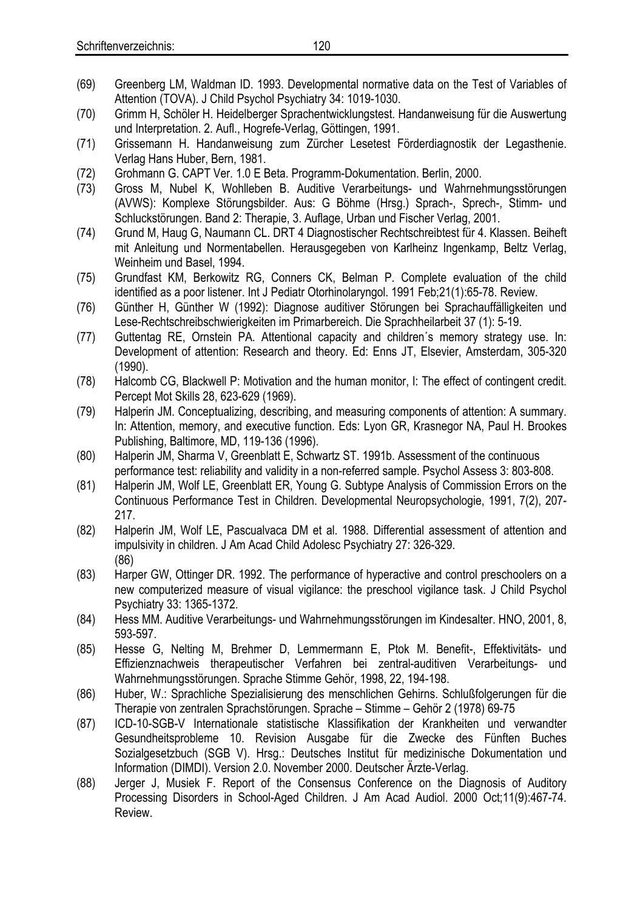- (69) Greenberg LM, Waldman ID. 1993. Developmental normative data on the Test of Variables of Attention (TOVA). J Child Psychol Psychiatry 34: 1019-1030.
- (70) Grimm H, Schöler H. Heidelberger Sprachentwicklungstest. Handanweisung für die Auswertung und Interpretation. 2. Aufl., Hogrefe-Verlag, Göttingen, 1991.
- (71) Grissemann H. Handanweisung zum Zürcher Lesetest Förderdiagnostik der Legasthenie. Verlag Hans Huber, Bern, 1981.
- (72) Grohmann G. CAPT Ver. 1.0 E Beta. Programm-Dokumentation. Berlin, 2000.
- (73) Gross M, Nubel K, Wohlleben B. Auditive Verarbeitungs- und Wahrnehmungsstörungen (AVWS): Komplexe Störungsbilder. Aus: G Böhme (Hrsg.) Sprach-, Sprech-, Stimm- und Schluckstörungen. Band 2: Therapie, 3. Auflage, Urban und Fischer Verlag, 2001.
- (74) Grund M, Haug G, Naumann CL. DRT 4 Diagnostischer Rechtschreibtest für 4. Klassen. Beiheft mit Anleitung und Normentabellen. Herausgegeben von Karlheinz Ingenkamp, Beltz Verlag, Weinheim und Basel, 1994.
- (75) Grundfast KM, Berkowitz RG, Conners CK, Belman P. Complete evaluation of the child identified as a poor listener. Int J Pediatr Otorhinolaryngol. 1991 Feb;21(1):65-78. Review.
- (76) Günther H, Günther W (1992): Diagnose auditiver Störungen bei Sprachauffälligkeiten und Lese-Rechtschreibschwierigkeiten im Primarbereich. Die Sprachheilarbeit 37 (1): 5-19.
- (77) Guttentag RE, Ornstein PA. Attentional capacity and children´s memory strategy use. In: Development of attention: Research and theory. Ed: Enns JT, Elsevier, Amsterdam, 305-320 (1990).
- (78) Halcomb CG, Blackwell P: Motivation and the human monitor, I: The effect of contingent credit. Percept Mot Skills 28, 623-629 (1969).
- (79) Halperin JM. Conceptualizing, describing, and measuring components of attention: A summary. In: Attention, memory, and executive function. Eds: Lyon GR, Krasnegor NA, Paul H. Brookes Publishing, Baltimore, MD, 119-136 (1996).
- (80) Halperin JM, Sharma V, Greenblatt E, Schwartz ST. 1991b. Assessment of the continuous performance test: reliability and validity in a non-referred sample. Psychol Assess 3: 803-808.
- (81) Halperin JM, Wolf LE, Greenblatt ER, Young G. Subtype Analysis of Commission Errors on the Continuous Performance Test in Children. Developmental Neuropsychologie, 1991, 7(2), 207- 217.
- (82) Halperin JM, Wolf LE, Pascualvaca DM et al. 1988. Differential assessment of attention and impulsivity in children. J Am Acad Child Adolesc Psychiatry 27: 326-329. (86)
- (83) Harper GW, Ottinger DR. 1992. The performance of hyperactive and control preschoolers on a new computerized measure of visual vigilance: the preschool vigilance task. J Child Psychol Psychiatry 33: 1365-1372.
- (84) Hess MM. Auditive Verarbeitungs- und Wahrnehmungsstörungen im Kindesalter. HNO, 2001, 8, 593-597.
- (85) Hesse G, Nelting M, Brehmer D, Lemmermann E, Ptok M. Benefit-, Effektivitäts- und Effizienznachweis therapeutischer Verfahren bei zentral-auditiven Verarbeitungs- und Wahrnehmungsstörungen. Sprache Stimme Gehör, 1998, 22, 194-198.
- (86) Huber, W.: Sprachliche Spezialisierung des menschlichen Gehirns. Schlußfolgerungen für die Therapie von zentralen Sprachstörungen. Sprache – Stimme – Gehör 2 (1978) 69-75
- (87) ICD-10-SGB-V Internationale statistische Klassifikation der Krankheiten und verwandter Gesundheitsprobleme 10. Revision Ausgabe für die Zwecke des Fünften Buches Sozialgesetzbuch (SGB V). Hrsg.: Deutsches Institut für medizinische Dokumentation und Information (DIMDI). Version 2.0. November 2000. Deutscher Ärzte-Verlag.
- (88) Jerger J, Musiek F. Report of the Consensus Conference on the Diagnosis of Auditory Processing Disorders in School-Aged Children. J Am Acad Audiol. 2000 Oct;11(9):467-74. Review.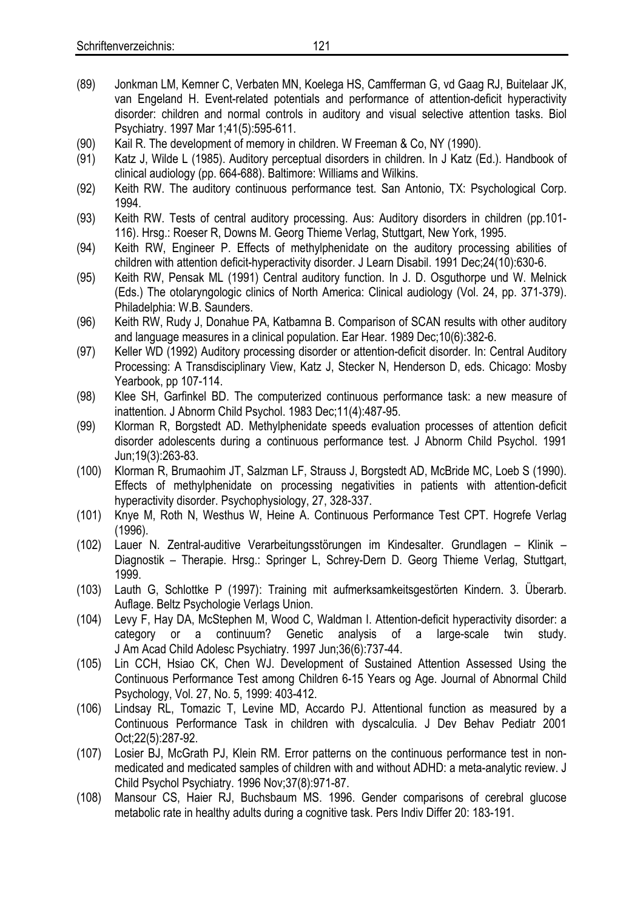- (89) Jonkman LM, Kemner C, Verbaten MN, Koelega HS, Camfferman G, vd Gaag RJ, Buitelaar JK, van Engeland H. Event-related potentials and performance of attention-deficit hyperactivity disorder: children and normal controls in auditory and visual selective attention tasks. Biol Psychiatry. 1997 Mar 1;41(5):595-611.
- (90) Kail R. The development of memory in children. W Freeman & Co, NY (1990).
- (91) Katz J, Wilde L (1985). Auditory perceptual disorders in children. In J Katz (Ed.). Handbook of clinical audiology (pp. 664-688). Baltimore: Williams and Wilkins.
- (92) Keith RW. The auditory continuous performance test. San Antonio, TX: Psychological Corp. 1994.
- (93) Keith RW. Tests of central auditory processing. Aus: Auditory disorders in children (pp.101- 116). Hrsg.: Roeser R, Downs M. Georg Thieme Verlag, Stuttgart, New York, 1995.
- (94) Keith RW, Engineer P. Effects of methylphenidate on the auditory processing abilities of children with attention deficit-hyperactivity disorder. J Learn Disabil. 1991 Dec;24(10):630-6.
- (95) Keith RW, Pensak ML (1991) Central auditory function. In J. D. Osguthorpe und W. Melnick (Eds.) The otolaryngologic clinics of North America: Clinical audiology (Vol. 24, pp. 371-379). Philadelphia: W.B. Saunders.
- (96) Keith RW, Rudy J, Donahue PA, Katbamna B. Comparison of SCAN results with other auditory and language measures in a clinical population. Ear Hear. 1989 Dec;10(6):382-6.
- (97) Keller WD (1992) Auditory processing disorder or attention-deficit disorder. In: Central Auditory Processing: A Transdisciplinary View, Katz J, Stecker N, Henderson D, eds. Chicago: Mosby Yearbook, pp 107-114.
- (98) Klee SH, Garfinkel BD. The computerized continuous performance task: a new measure of inattention. J Abnorm Child Psychol. 1983 Dec;11(4):487-95.
- (99) Klorman R, Borgstedt AD. Methylphenidate speeds evaluation processes of attention deficit disorder adolescents during a continuous performance test. J Abnorm Child Psychol. 1991 Jun;19(3):263-83.
- (100) Klorman R, Brumaohim JT, Salzman LF, Strauss J, Borgstedt AD, McBride MC, Loeb S (1990). Effects of methylphenidate on processing negativities in patients with attention-deficit hyperactivity disorder. Psychophysiology, 27, 328-337.
- (101) Knye M, Roth N, Westhus W, Heine A. Continuous Performance Test CPT. Hogrefe Verlag (1996).
- (102) Lauer N. Zentral-auditive Verarbeitungsstörungen im Kindesalter. Grundlagen Klinik Diagnostik – Therapie. Hrsg.: Springer L, Schrey-Dern D. Georg Thieme Verlag, Stuttgart, 1999.
- (103) Lauth G, Schlottke P (1997): Training mit aufmerksamkeitsgestörten Kindern. 3. Überarb. Auflage. Beltz Psychologie Verlags Union.
- (104) Levy F, Hay DA, McStephen M, Wood C, Waldman I. Attention-deficit hyperactivity disorder: a category or a continuum? Genetic analysis of a large-scale twin study. J Am Acad Child Adolesc Psychiatry. 1997 Jun;36(6):737-44.
- (105) Lin CCH, Hsiao CK, Chen WJ. Development of Sustained Attention Assessed Using the Continuous Performance Test among Children 6-15 Years og Age. Journal of Abnormal Child Psychology, Vol. 27, No. 5, 1999: 403-412.
- (106) Lindsay RL, Tomazic T, Levine MD, Accardo PJ. Attentional function as measured by a Continuous Performance Task in children with dyscalculia. J Dev Behav Pediatr 2001 Oct;22(5):287-92.
- (107) Losier BJ, McGrath PJ, Klein RM. Error patterns on the continuous performance test in nonmedicated and medicated samples of children with and without ADHD: a meta-analytic review. J Child Psychol Psychiatry. 1996 Nov;37(8):971-87.
- (108) Mansour CS, Haier RJ, Buchsbaum MS. 1996. Gender comparisons of cerebral glucose metabolic rate in healthy adults during a cognitive task. Pers Indiv Differ 20: 183-191.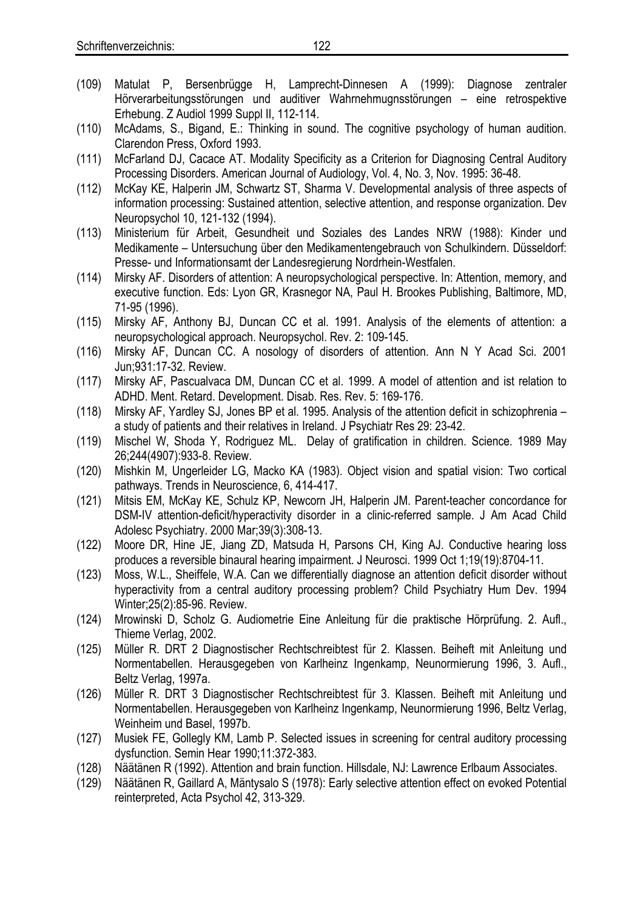- (109) Matulat P, Bersenbrügge H, Lamprecht-Dinnesen A (1999): Diagnose zentraler Hörverarbeitungsstörungen und auditiver Wahrnehmugnsstörungen – eine retrospektive Erhebung. Z Audiol 1999 Suppl II, 112-114.
- (110) McAdams, S., Bigand, E.: Thinking in sound. The cognitive psychology of human audition. Clarendon Press, Oxford 1993.
- (111) McFarland DJ, Cacace AT. Modality Specificity as a Criterion for Diagnosing Central Auditory Processing Disorders. American Journal of Audiology, Vol. 4, No. 3, Nov. 1995: 36-48.
- (112) McKay KE, Halperin JM, Schwartz ST, Sharma V. Developmental analysis of three aspects of information processing: Sustained attention, selective attention, and response organization. Dev Neuropsychol 10, 121-132 (1994).
- (113) Ministerium für Arbeit, Gesundheit und Soziales des Landes NRW (1988): Kinder und Medikamente – Untersuchung über den Medikamentengebrauch von Schulkindern. Düsseldorf: Presse- und Informationsamt der Landesregierung Nordrhein-Westfalen.
- (114) Mirsky AF. Disorders of attention: A neuropsychological perspective. In: Attention, memory, and executive function. Eds: Lyon GR, Krasnegor NA, Paul H. Brookes Publishing, Baltimore, MD, 71-95 (1996).
- (115) Mirsky AF, Anthony BJ, Duncan CC et al. 1991. Analysis of the elements of attention: a neuropsychological approach. Neuropsychol. Rev. 2: 109-145.
- (116) Mirsky AF, Duncan CC. A nosology of disorders of attention. Ann N Y Acad Sci. 2001 Jun;931:17-32. Review.
- (117) Mirsky AF, Pascualvaca DM, Duncan CC et al. 1999. A model of attention and ist relation to ADHD. Ment. Retard. Development. Disab. Res. Rev. 5: 169-176.
- (118) Mirsky AF, Yardley SJ, Jones BP et al. 1995. Analysis of the attention deficit in schizophrenia a study of patients and their relatives in Ireland. J Psychiatr Res 29: 23-42.
- (119) Mischel W, Shoda Y, Rodriguez ML. Delay of gratification in children. Science. 1989 May 26;244(4907):933-8. Review.
- (120) Mishkin M, Ungerleider LG, Macko KA (1983). Object vision and spatial vision: Two cortical pathways. Trends in Neuroscience, 6, 414-417.
- (121) Mitsis EM, McKay KE, Schulz KP, Newcorn JH, Halperin JM. Parent-teacher concordance for DSM-IV attention-deficit/hyperactivity disorder in a clinic-referred sample. J Am Acad Child Adolesc Psychiatry. 2000 Mar;39(3):308-13.
- (122) Moore DR, Hine JE, Jiang ZD, Matsuda H, Parsons CH, King AJ. Conductive hearing loss produces a reversible binaural hearing impairment. J Neurosci. 1999 Oct 1;19(19):8704-11.
- (123) Moss, W.L., Sheiffele, W.A. Can we differentially diagnose an attention deficit disorder without hyperactivity from a central auditory processing problem? Child Psychiatry Hum Dev. 1994 Winter;25(2):85-96. Review.
- (124) Mrowinski D, Scholz G. Audiometrie Eine Anleitung für die praktische Hörprüfung. 2. Aufl., Thieme Verlag, 2002.
- (125) Müller R. DRT 2 Diagnostischer Rechtschreibtest für 2. Klassen. Beiheft mit Anleitung und Normentabellen. Herausgegeben von Karlheinz Ingenkamp, Neunormierung 1996, 3. Aufl., Beltz Verlag, 1997a.
- (126) Müller R. DRT 3 Diagnostischer Rechtschreibtest für 3. Klassen. Beiheft mit Anleitung und Normentabellen. Herausgegeben von Karlheinz Ingenkamp, Neunormierung 1996, Beltz Verlag, Weinheim und Basel, 1997b.
- (127) Musiek FE, Gollegly KM, Lamb P. Selected issues in screening for central auditory processing dysfunction. Semin Hear 1990;11:372-383.
- (128) Näätänen R (1992). Attention and brain function. Hillsdale, NJ: Lawrence Erlbaum Associates.
- (129) Näätänen R, Gaillard A, Mäntysalo S (1978): Early selective attention effect on evoked Potential reinterpreted, Acta Psychol 42, 313-329.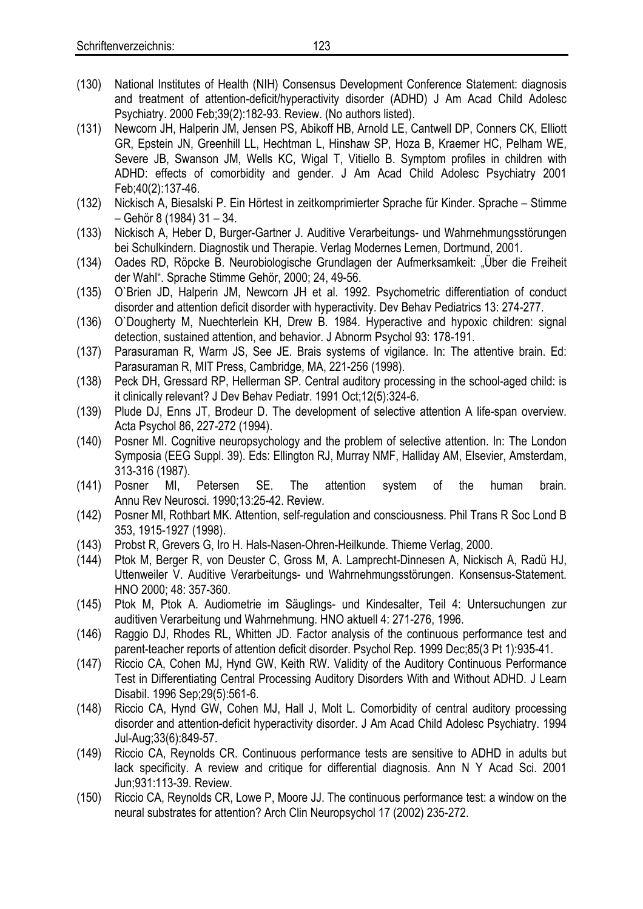- (130) National Institutes of Health (NIH) Consensus Development Conference Statement: diagnosis and treatment of attention-deficit/hyperactivity disorder (ADHD) J Am Acad Child Adolesc Psychiatry. 2000 Feb;39(2):182-93. Review. (No authors listed).
- (131) Newcorn JH, Halperin JM, Jensen PS, Abikoff HB, Arnold LE, Cantwell DP, Conners CK, Elliott GR, Epstein JN, Greenhill LL, Hechtman L, Hinshaw SP, Hoza B, Kraemer HC, Pelham WE, Severe JB, Swanson JM, Wells KC, Wigal T, Vitiello B. Symptom profiles in children with ADHD: effects of comorbidity and gender. J Am Acad Child Adolesc Psychiatry 2001 Feb;40(2):137-46.
- (132) Nickisch A, Biesalski P. Ein Hörtest in zeitkomprimierter Sprache für Kinder. Sprache Stimme – Gehör 8 (1984) 31 – 34.
- (133) Nickisch A, Heber D, Burger-Gartner J. Auditive Verarbeitungs- und Wahrnehmungsstörungen bei Schulkindern. Diagnostik und Therapie. Verlag Modernes Lernen, Dortmund, 2001.
- (134) Oades RD, Röpcke B. Neurobiologische Grundlagen der Aufmerksamkeit: "Über die Freiheit der Wahl". Sprache Stimme Gehör, 2000; 24, 49-56.
- (135) O`Brien JD, Halperin JM, Newcorn JH et al. 1992. Psychometric differentiation of conduct disorder and attention deficit disorder with hyperactivity. Dev Behav Pediatrics 13: 274-277.
- (136) O`Dougherty M, Nuechterlein KH, Drew B. 1984. Hyperactive and hypoxic children: signal detection, sustained attention, and behavior. J Abnorm Psychol 93: 178-191.
- (137) Parasuraman R, Warm JS, See JE. Brais systems of vigilance. In: The attentive brain. Ed: Parasuraman R, MIT Press, Cambridge, MA, 221-256 (1998).
- (138) Peck DH, Gressard RP, Hellerman SP. Central auditory processing in the school-aged child: is it clinically relevant? J Dev Behav Pediatr. 1991 Oct;12(5):324-6.
- (139) Plude DJ, Enns JT, Brodeur D. The development of selective attention A life-span overview. Acta Psychol 86, 227-272 (1994).
- (140) Posner MI. Cognitive neuropsychology and the problem of selective attention. In: The London Symposia (EEG Suppl. 39). Eds: Ellington RJ, Murray NMF, Halliday AM, Elsevier, Amsterdam, 313-316 (1987).
- (141) Posner MI, Petersen SE. The attention system of the human brain. Annu Rev Neurosci. 1990;13:25-42. Review.
- (142) Posner MI, Rothbart MK. Attention, self-regulation and consciousness. Phil Trans R Soc Lond B 353, 1915-1927 (1998).
- (143) Probst R, Grevers G, Iro H. Hals-Nasen-Ohren-Heilkunde. Thieme Verlag, 2000.
- (144) Ptok M, Berger R, von Deuster C, Gross M, A. Lamprecht-Dinnesen A, Nickisch A, Radü HJ, Uttenweiler V. Auditive Verarbeitungs- und Wahrnehmungsstörungen. Konsensus-Statement. HNO 2000; 48: 357-360.
- (145) Ptok M, Ptok A. Audiometrie im Säuglings- und Kindesalter, Teil 4: Untersuchungen zur auditiven Verarbeitung und Wahrnehmung. HNO aktuell 4: 271-276, 1996.
- (146) Raggio DJ, Rhodes RL, Whitten JD. Factor analysis of the continuous performance test and parent-teacher reports of attention deficit disorder. Psychol Rep. 1999 Dec;85(3 Pt 1):935-41.
- (147) Riccio CA, Cohen MJ, Hynd GW, Keith RW. Validity of the Auditory Continuous Performance Test in Differentiating Central Processing Auditory Disorders With and Without ADHD. J Learn Disabil. 1996 Sep;29(5):561-6.
- (148) Riccio CA, Hynd GW, Cohen MJ, Hall J, Molt L. Comorbidity of central auditory processing disorder and attention-deficit hyperactivity disorder. J Am Acad Child Adolesc Psychiatry. 1994 Jul-Aug;33(6):849-57.
- (149) Riccio CA, Reynolds CR. Continuous performance tests are sensitive to ADHD in adults but lack specificity. A review and critique for differential diagnosis. Ann N Y Acad Sci. 2001 Jun;931:113-39. Review.
- (150) Riccio CA, Reynolds CR, Lowe P, Moore JJ. The continuous performance test: a window on the neural substrates for attention? Arch Clin Neuropsychol 17 (2002) 235-272.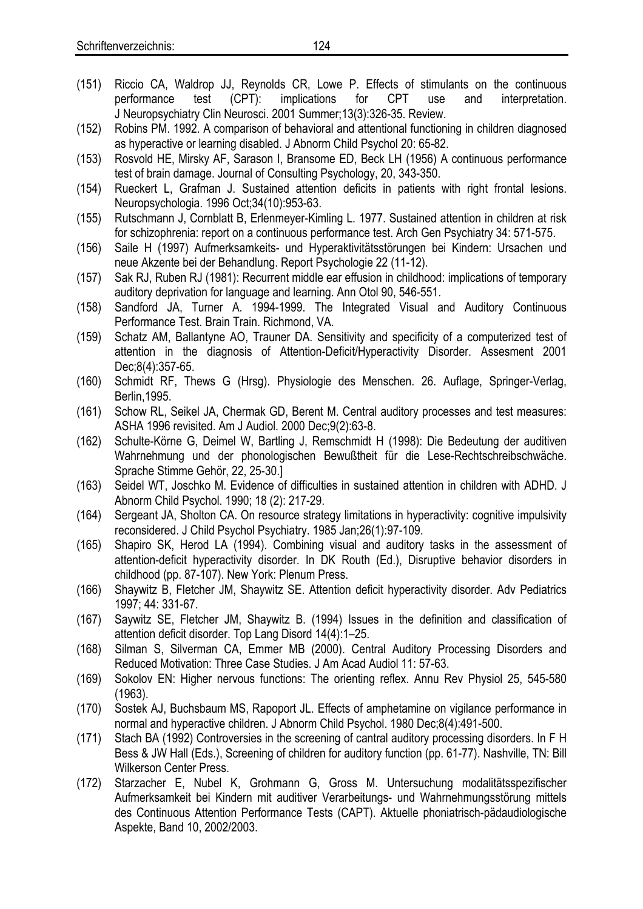- (151) [Riccio CA, Waldrop JJ, Reynolds CR, Lowe P.](http://www.ncbi.nlm.nih.gov/entrez/query.fcgi?cmd=Retrieve&db=PubMed&list_uids=11514638&dopt=Abstract) Effects of stimulants on the continuous performance test (CPT): implications for CPT use and interpretation. J Neuropsychiatry Clin Neurosci. 2001 Summer;13(3):326-35. Review.
- (152) Robins PM. 1992. A comparison of behavioral and attentional functioning in children diagnosed as hyperactive or learning disabled. J Abnorm Child Psychol 20: 65-82.
- (153) Rosvold HE, Mirsky AF, Sarason I, Bransome ED, Beck LH (1956) A continuous performance test of brain damage. Journal of Consulting Psychology, 20, 343-350.
- (154) Rueckert L, Grafman J. Sustained attention deficits in patients with right frontal lesions. Neuropsychologia. 1996 Oct;34(10):953-63.
- (155) Rutschmann J, Cornblatt B, Erlenmeyer-Kimling L. 1977. Sustained attention in children at risk for schizophrenia: report on a continuous performance test. Arch Gen Psychiatry 34: 571-575.
- (156) Saile H (1997) Aufmerksamkeits- und Hyperaktivitätsstörungen bei Kindern: Ursachen und neue Akzente bei der Behandlung. Report Psychologie 22 (11-12).
- (157) Sak RJ, Ruben RJ (1981): Recurrent middle ear effusion in childhood: implications of temporary auditory deprivation for language and learning. Ann Otol 90, 546-551.
- (158) Sandford JA, Turner A. 1994-1999. The Integrated Visual and Auditory Continuous Performance Test. Brain Train. Richmond, VA.
- (159) Schatz AM, Ballantyne AO, Trauner DA. Sensitivity and specificity of a computerized test of attention in the diagnosis of Attention-Deficit/Hyperactivity Disorder. Assesment 2001 Dec;8(4):357-65.
- (160) Schmidt RF, Thews G (Hrsg). Physiologie des Menschen. 26. Auflage, Springer-Verlag, Berlin,1995.
- (161) Schow RL, Seikel JA, Chermak GD, Berent M. Central auditory processes and test measures: ASHA 1996 revisited. Am J Audiol. 2000 Dec;9(2):63-8.
- (162) Schulte-Körne G, Deimel W, Bartling J, Remschmidt H (1998): Die Bedeutung der auditiven Wahrnehmung und der phonologischen Bewußtheit für die Lese-Rechtschreibschwäche. Sprache Stimme Gehör, 22, 25-30.]
- (163) Seidel WT, Joschko M. Evidence of difficulties in sustained attention in children with ADHD. J Abnorm Child Psychol. 1990; 18 (2): 217-29.
- (164) Sergeant JA, Sholton CA. On resource strategy limitations in hyperactivity: cognitive impulsivity reconsidered. J Child Psychol Psychiatry. 1985 Jan;26(1):97-109.
- (165) Shapiro SK, Herod LA (1994). Combining visual and auditory tasks in the assessment of attention-deficit hyperactivity disorder. In DK Routh (Ed.), Disruptive behavior disorders in childhood (pp. 87-107). New York: Plenum Press.
- (166) Shaywitz B, Fletcher JM, Shaywitz SE. Attention deficit hyperactivity disorder. Adv Pediatrics 1997; 44: 331-67.
- (167) Saywitz SE, Fletcher JM, Shaywitz B. (1994) Issues in the definition and classification of attention deficit disorder. Top Lang Disord 14(4):1–25.
- (168) Silman S, Silverman CA, Emmer MB (2000). Central Auditory Processing Disorders and Reduced Motivation: Three Case Studies. J Am Acad Audiol 11: 57-63.
- (169) Sokolov EN: Higher nervous functions: The orienting reflex. Annu Rev Physiol 25, 545-580 (1963).
- (170) Sostek AJ, Buchsbaum MS, Rapoport JL. Effects of amphetamine on vigilance performance in normal and hyperactive children. J Abnorm Child Psychol. 1980 Dec;8(4):491-500.
- (171) Stach BA (1992) Controversies in the screening of cantral auditory processing disorders. In F H Bess & JW Hall (Eds.), Screening of children for auditory function (pp. 61-77). Nashville, TN: Bill Wilkerson Center Press.
- (172) Starzacher E, Nubel K, Grohmann G, Gross M. Untersuchung modalitätsspezifischer Aufmerksamkeit bei Kindern mit auditiver Verarbeitungs- und Wahrnehmungsstörung mittels des Continuous Attention Performance Tests (CAPT). Aktuelle phoniatrisch-pädaudiologische Aspekte, Band 10, 2002/2003.